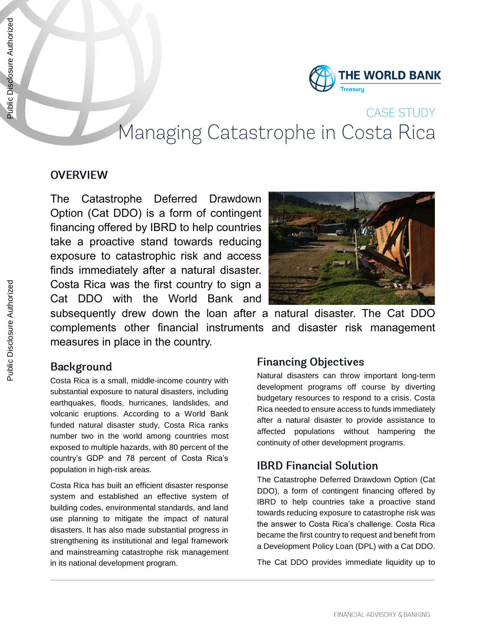

# **CASE STUDY** Managing Catastrophe in Costa Rica

#### **OVERVIEW**

The Catastrophe Deferred Drawdown Option (Cat DDO) is a form of contingent financing offered by IBRD to help countries take a proactive stand towards reducing exposure to catastrophic risk and access finds immediately after a natural disaster. Costa Rica was the first country to sign a Cat DDO with the World Bank and



subsequently drew down the loan after a natural disaster. The Cat DDO complements other financial instruments and disaster risk management measures in place in the country.

#### **Background**

Costa Rica is a small, middle-income country with substantial exposure to natural disasters, including earthquakes, floods, hurricanes, landslides, and volcanic eruptions. According to a World Bank funded natural disaster study, Costa Rica ranks number two in the world among countries most exposed to multiple hazards, with 80 percent of the country's GDP and 78 percent of Costa Rica's population in high-risk areas.

Costa Rica has built an efficient disaster response system and established an effective system of building codes, environmental standards, and land use planning to mitigate the impact of natural disasters. It has also made substantial progress in strengthening its institutional and legal framework and mainstreaming catastrophe risk management in its national development program.

#### **Financing Objectives**

Natural disasters can throw important long-term development programs off course by diverting budgetary resources to respond to a crisis. Costa Rica needed to ensure access to funds immediately after a natural disaster to provide assistance to affected populations without hampering the continuity of other development programs.

#### **IBRD Financial Solution**

The Catastrophe Deferred Drawdown Option (Cat DDO), a form of contingent financing offered by IBRD to help countries take a proactive stand towards reducing exposure to catastrophe risk was the answer to Costa Rica's challenge. Costa Rica became the first country to request and benefit from a Development Policy Loan (DPL) with a Cat DDO.

The Cat DDO provides immediate liquidity up to